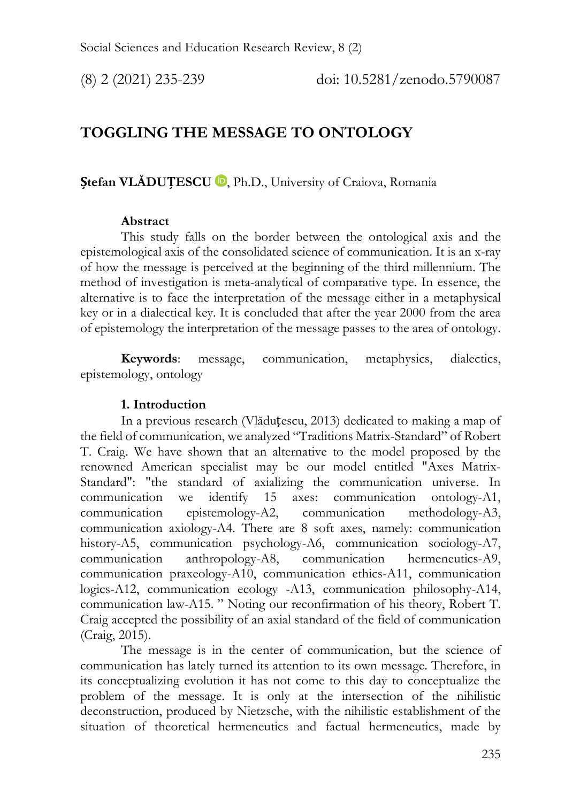# **TOGGLING THE MESSAGE TO ONTOLOGY**

**Ștefan VLĂDUȚESCU** [,](https://orcid.org/0000-0002-6929-1614) Ph.D., University of Craiova, Romania

## **Abstract**

This study falls on the border between the ontological axis and the epistemological axis of the consolidated science of communication. It is an x-ray of how the message is perceived at the beginning of the third millennium. The method of investigation is meta-analytical of comparative type. In essence, the alternative is to face the interpretation of the message either in a metaphysical key or in a dialectical key. It is concluded that after the year 2000 from the area of epistemology the interpretation of the message passes to the area of ontology.

**Keywords**: message, communication, metaphysics, dialectics, epistemology, ontology

## **1. Introduction**

In a previous research (Vlăduțescu, 2013) dedicated to making a map of the field of communication, we analyzed "Traditions Matrix-Standard" of Robert T. Craig. We have shown that an alternative to the model proposed by the renowned American specialist may be our model entitled "Axes Matrix-Standard": "the standard of axializing the communication universe. In communication we identify 15 axes: communication ontology-A1, communication epistemology-A2, communication methodology-A3, communication axiology-A4. There are 8 soft axes, namely: communication history-A5, communication psychology-A6, communication sociology-A7, communication anthropology-A8, communication hermeneutics-A9, communication praxeology-A10, communication ethics-A11, communication logics-A12, communication ecology -A13, communication philosophy-A14, communication law-A15. " Noting our reconfirmation of his theory, Robert T. Craig accepted the possibility of an axial standard of the field of communication (Craig, 2015).

The message is in the center of communication, but the science of communication has lately turned its attention to its own message. Therefore, in its conceptualizing evolution it has not come to this day to conceptualize the problem of the message. It is only at the intersection of the nihilistic deconstruction, produced by Nietzsche, with the nihilistic establishment of the situation of theoretical hermeneutics and factual hermeneutics, made by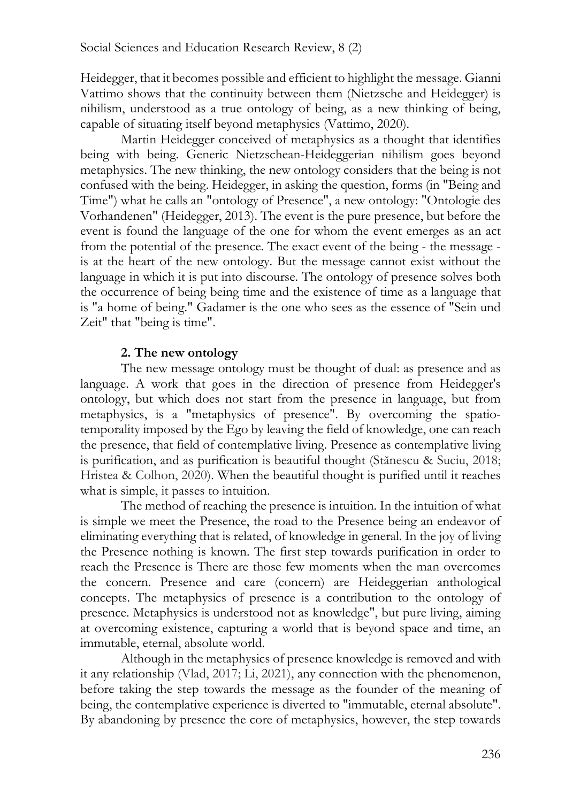Heidegger, that it becomes possible and efficient to highlight the message. Gianni Vattimo shows that the continuity between them (Nietzsche and Heidegger) is nihilism, understood as a true ontology of being, as a new thinking of being, capable of situating itself beyond metaphysics (Vattimo, 2020).

Martin Heidegger conceived of metaphysics as a thought that identifies being with being. Generic Nietzschean-Heideggerian nihilism goes beyond metaphysics. The new thinking, the new ontology considers that the being is not confused with the being. Heidegger, in asking the question, forms (in "Being and Time") what he calls an "ontology of Presence", a new ontology: "Ontologie des Vorhandenen" (Heidegger, 2013). The event is the pure presence, but before the event is found the language of the one for whom the event emerges as an act from the potential of the presence. The exact event of the being - the message is at the heart of the new ontology. But the message cannot exist without the language in which it is put into discourse. The ontology of presence solves both the occurrence of being being time and the existence of time as a language that is "a home of being." Gadamer is the one who sees as the essence of "Sein und Zeit" that "being is time".

### **2. The new ontology**

The new message ontology must be thought of dual: as presence and as language. A work that goes in the direction of presence from Heidegger's ontology, but which does not start from the presence in language, but from metaphysics, is a "metaphysics of presence". By overcoming the spatiotemporality imposed by the Ego by leaving the field of knowledge, one can reach the presence, that field of contemplative living. Presence as contemplative living is purification, and as purification is beautiful thought (Stănescu & Suciu, 2018; Hristea & Colhon, 2020). When the beautiful thought is purified until it reaches what is simple, it passes to intuition.

The method of reaching the presence is intuition. In the intuition of what is simple we meet the Presence, the road to the Presence being an endeavor of eliminating everything that is related, of knowledge in general. In the joy of living the Presence nothing is known. The first step towards purification in order to reach the Presence is There are those few moments when the man overcomes the concern. Presence and care (concern) are Heideggerian anthological concepts. The metaphysics of presence is a contribution to the ontology of presence. Metaphysics is understood not as knowledge", but pure living, aiming at overcoming existence, capturing a world that is beyond space and time, an immutable, eternal, absolute world.

Although in the metaphysics of presence knowledge is removed and with it any relationship (Vlad, 2017; Li, 2021), any connection with the phenomenon, before taking the step towards the message as the founder of the meaning of being, the contemplative experience is diverted to "immutable, eternal absolute". By abandoning by presence the core of metaphysics, however, the step towards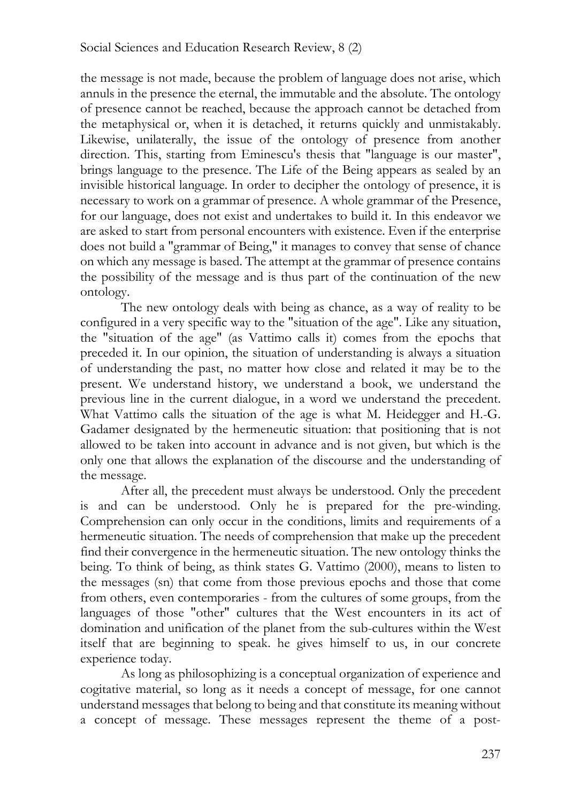the message is not made, because the problem of language does not arise, which annuls in the presence the eternal, the immutable and the absolute. The ontology of presence cannot be reached, because the approach cannot be detached from the metaphysical or, when it is detached, it returns quickly and unmistakably. Likewise, unilaterally, the issue of the ontology of presence from another direction. This, starting from Eminescu's thesis that "language is our master", brings language to the presence. The Life of the Being appears as sealed by an invisible historical language. In order to decipher the ontology of presence, it is necessary to work on a grammar of presence. A whole grammar of the Presence, for our language, does not exist and undertakes to build it. In this endeavor we are asked to start from personal encounters with existence. Even if the enterprise does not build a "grammar of Being," it manages to convey that sense of chance on which any message is based. The attempt at the grammar of presence contains the possibility of the message and is thus part of the continuation of the new ontology.

The new ontology deals with being as chance, as a way of reality to be configured in a very specific way to the "situation of the age". Like any situation, the "situation of the age" (as Vattimo calls it) comes from the epochs that preceded it. In our opinion, the situation of understanding is always a situation of understanding the past, no matter how close and related it may be to the present. We understand history, we understand a book, we understand the previous line in the current dialogue, in a word we understand the precedent. What Vattimo calls the situation of the age is what M. Heidegger and H.-G. Gadamer designated by the hermeneutic situation: that positioning that is not allowed to be taken into account in advance and is not given, but which is the only one that allows the explanation of the discourse and the understanding of the message.

After all, the precedent must always be understood. Only the precedent is and can be understood. Only he is prepared for the pre-winding. Comprehension can only occur in the conditions, limits and requirements of a hermeneutic situation. The needs of comprehension that make up the precedent find their convergence in the hermeneutic situation. The new ontology thinks the being. To think of being, as think states G. Vattimo (2000), means to listen to the messages (sn) that come from those previous epochs and those that come from others, even contemporaries - from the cultures of some groups, from the languages of those "other" cultures that the West encounters in its act of domination and unification of the planet from the sub-cultures within the West itself that are beginning to speak. he gives himself to us, in our concrete experience today.

As long as philosophizing is a conceptual organization of experience and cogitative material, so long as it needs a concept of message, for one cannot understand messages that belong to being and that constitute its meaning without a concept of message. These messages represent the theme of a post-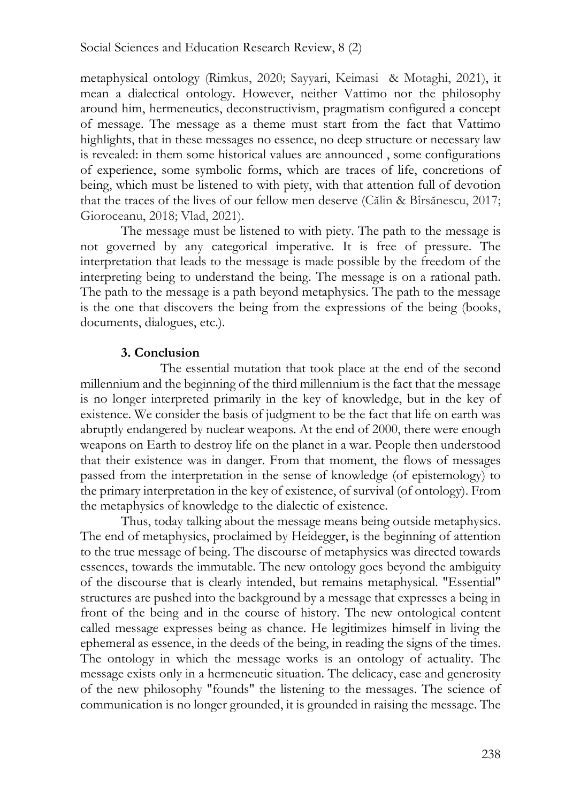metaphysical ontology (Rimkus, 2020; Sayyari, Keimasi & Motaghi, 2021), it mean a dialectical ontology. However, neither Vattimo nor the philosophy around him, hermeneutics, deconstructivism, pragmatism configured a concept of message. The message as a theme must start from the fact that Vattimo highlights, that in these messages no essence, no deep structure or necessary law is revealed: in them some historical values are announced , some configurations of experience, some symbolic forms, which are traces of life, concretions of being, which must be listened to with piety, with that attention full of devotion that the traces of the lives of our fellow men deserve (Călin & Bîrsănescu, 2017; Gioroceanu, 2018; Vlad, 2021).

The message must be listened to with piety. The path to the message is not governed by any categorical imperative. It is free of pressure. The interpretation that leads to the message is made possible by the freedom of the interpreting being to understand the being. The message is on a rational path. The path to the message is a path beyond metaphysics. The path to the message is the one that discovers the being from the expressions of the being (books, documents, dialogues, etc.).

#### **3. Conclusion**

The essential mutation that took place at the end of the second millennium and the beginning of the third millennium is the fact that the message is no longer interpreted primarily in the key of knowledge, but in the key of existence. We consider the basis of judgment to be the fact that life on earth was abruptly endangered by nuclear weapons. At the end of 2000, there were enough weapons on Earth to destroy life on the planet in a war. People then understood that their existence was in danger. From that moment, the flows of messages passed from the interpretation in the sense of knowledge (of epistemology) to the primary interpretation in the key of existence, of survival (of ontology). From the metaphysics of knowledge to the dialectic of existence.

Thus, today talking about the message means being outside metaphysics. The end of metaphysics, proclaimed by Heidegger, is the beginning of attention to the true message of being. The discourse of metaphysics was directed towards essences, towards the immutable. The new ontology goes beyond the ambiguity of the discourse that is clearly intended, but remains metaphysical. "Essential" structures are pushed into the background by a message that expresses a being in front of the being and in the course of history. The new ontological content called message expresses being as chance. He legitimizes himself in living the ephemeral as essence, in the deeds of the being, in reading the signs of the times. The ontology in which the message works is an ontology of actuality. The message exists only in a hermeneutic situation. The delicacy, ease and generosity of the new philosophy "founds" the listening to the messages. The science of communication is no longer grounded, it is grounded in raising the message. The